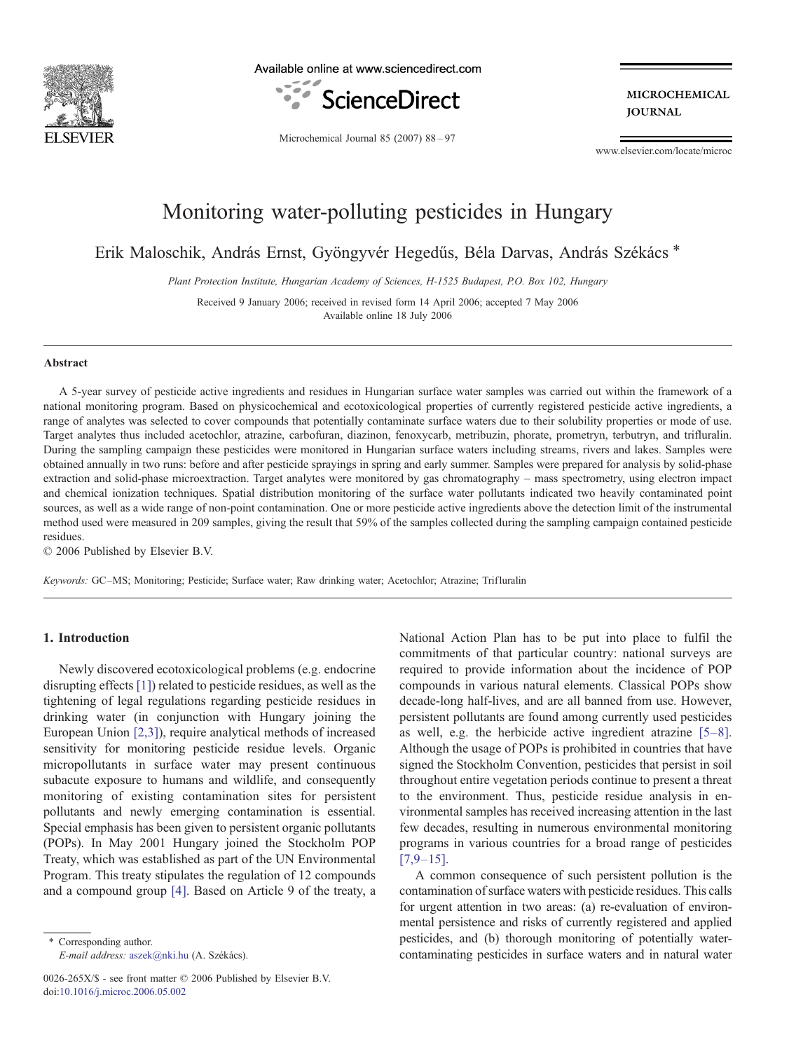

Available online at www.sciencedirect.com



**MICROCHEMICAL JOURNAL** 

Microchemical Journal 85 (2007) 88–97

www.elsevier.com/locate/microc

# Monitoring water-polluting pesticides in Hungary

Erik Maloschik, András Ernst, Gyöngyvér Hegedűs, Béla Darvas, András Székács<sup>\*</sup>

Plant Protection Institute, Hungarian Academy of Sciences, H-1525 Budapest, P.O. Box 102, Hungary

Received 9 January 2006; received in revised form 14 April 2006; accepted 7 May 2006 Available online 18 July 2006

#### Abstract

A 5-year survey of pesticide active ingredients and residues in Hungarian surface water samples was carried out within the framework of a national monitoring program. Based on physicochemical and ecotoxicological properties of currently registered pesticide active ingredients, a range of analytes was selected to cover compounds that potentially contaminate surface waters due to their solubility properties or mode of use. Target analytes thus included acetochlor, atrazine, carbofuran, diazinon, fenoxycarb, metribuzin, phorate, prometryn, terbutryn, and trifluralin. During the sampling campaign these pesticides were monitored in Hungarian surface waters including streams, rivers and lakes. Samples were obtained annually in two runs: before and after pesticide sprayings in spring and early summer. Samples were prepared for analysis by solid-phase extraction and solid-phase microextraction. Target analytes were monitored by gas chromatography – mass spectrometry, using electron impact and chemical ionization techniques. Spatial distribution monitoring of the surface water pollutants indicated two heavily contaminated point sources, as well as a wide range of non-point contamination. One or more pesticide active ingredients above the detection limit of the instrumental method used were measured in 209 samples, giving the result that 59% of the samples collected during the sampling campaign contained pesticide residues.

© 2006 Published by Elsevier B.V.

Keywords: GC–MS; Monitoring; Pesticide; Surface water; Raw drinking water; Acetochlor; Atrazine; Trifluralin

# 1. Introduction

Newly discovered ecotoxicological problems (e.g. endocrine disrupting effects [\[1\]](#page-8-0)) related to pesticide residues, as well as the tightening of legal regulations regarding pesticide residues in drinking water (in conjunction with Hungary joining the European Union [\[2,3\]\)](#page-8-0), require analytical methods of increased sensitivity for monitoring pesticide residue levels. Organic micropollutants in surface water may present continuous subacute exposure to humans and wildlife, and consequently monitoring of existing contamination sites for persistent pollutants and newly emerging contamination is essential. Special emphasis has been given to persistent organic pollutants (POPs). In May 2001 Hungary joined the Stockholm POP Treaty, which was established as part of the UN Environmental Program. This treaty stipulates the regulation of 12 compounds and a compound group [\[4\].](#page-8-0) Based on Article 9 of the treaty, a

⁎ Corresponding author. E-mail address: [aszek@nki.hu](mailto:aszek@nki.hu) (A. Székács).

0026-265X/\$ - see front matter © 2006 Published by Elsevier B.V. doi:[10.1016/j.microc.2006.05.002](http://dx.doi.org/10.1016/j.microc.2006.05.002)

National Action Plan has to be put into place to fulfil the commitments of that particular country: national surveys are required to provide information about the incidence of POP compounds in various natural elements. Classical POPs show decade-long half-lives, and are all banned from use. However, persistent pollutants are found among currently used pesticides as well, e.g. the herbicide active ingredient atrazine [\[5](#page-8-0)–8]. Although the usage of POPs is prohibited in countries that have signed the Stockholm Convention, pesticides that persist in soil throughout entire vegetation periods continue to present a threat to the environment. Thus, pesticide residue analysis in environmental samples has received increasing attention in the last few decades, resulting in numerous environmental monitoring programs in various countries for a broad range of pesticides  $[7,9-15]$  $[7,9-15]$ .

A common consequence of such persistent pollution is the contamination of surface waters with pesticide residues. This calls for urgent attention in two areas: (a) re-evaluation of environmental persistence and risks of currently registered and applied pesticides, and (b) thorough monitoring of potentially watercontaminating pesticides in surface waters and in natural water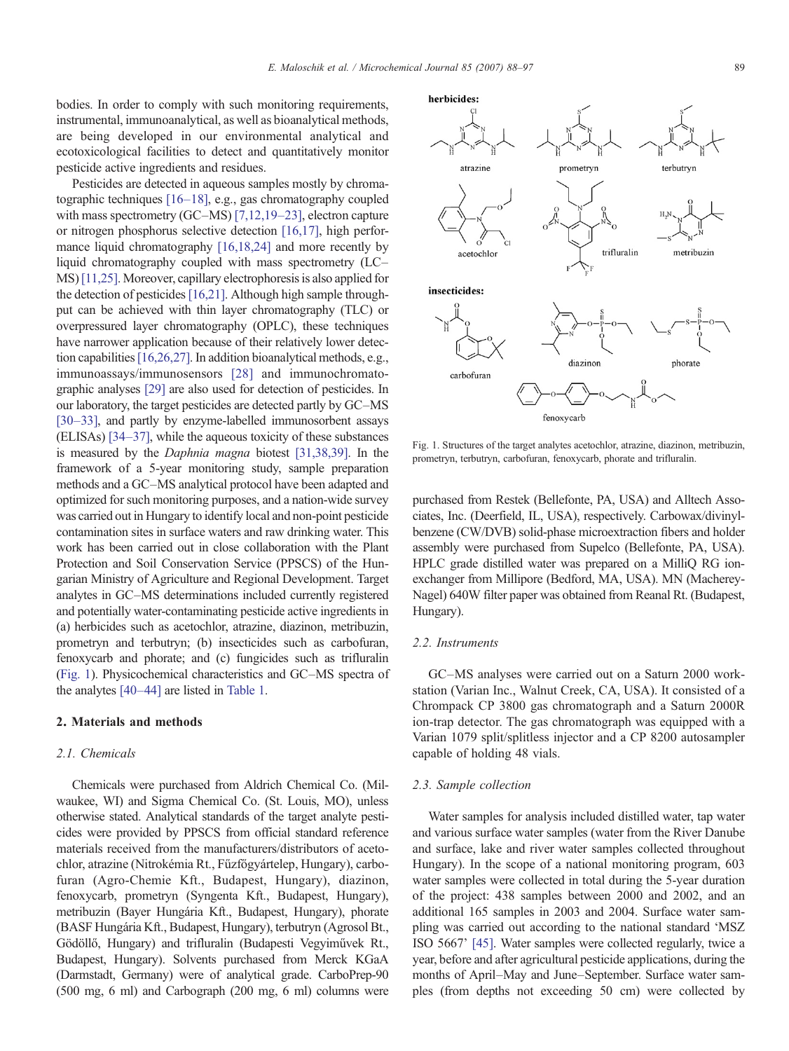<span id="page-1-0"></span>bodies. In order to comply with such monitoring requirements, instrumental, immunoanalytical, as well as bioanalytical methods, are being developed in our environmental analytical and ecotoxicological facilities to detect and quantitatively monitor pesticide active ingredients and residues.

Pesticides are detected in aqueous samples mostly by chromatographic techniques [16–[18\],](#page-8-0) e.g., gas chromatography coupled with mass spectrometry (GC–MS) [\[7,12,19](#page-8-0)–23], electron capture or nitrogen phosphorus selective detection [\[16,17\],](#page-8-0) high perfor-mance liquid chromatography [\[16,18,24\]](#page-8-0) and more recently by liquid chromatography coupled with mass spectrometry (LC– MS) [\[11,25\].](#page-8-0) Moreover, capillary electrophoresis is also applied for the detection of pesticides [\[16,21\].](#page-8-0) Although high sample throughput can be achieved with thin layer chromatography (TLC) or overpressured layer chromatography (OPLC), these techniques have narrower application because of their relatively lower detection capabilities[\[16,26,27\]](#page-8-0). In addition bioanalytical methods, e.g., immunoassays/immunosensors [\[28\]](#page-9-0) and immunochromatographic analyses [\[29\]](#page-9-0) are also used for detection of pesticides. In our laboratory, the target pesticides are detected partly by GC–MS [30–[33\],](#page-9-0) and partly by enzyme-labelled immunosorbent assays (ELISAs) [\[34](#page-9-0)–37], while the aqueous toxicity of these substances is measured by the Daphnia magna biotest [\[31,38,39\].](#page-9-0) In the framework of a 5-year monitoring study, sample preparation methods and a GC–MS analytical protocol have been adapted and optimized for such monitoring purposes, and a nation-wide survey was carried out in Hungary to identify local and non-point pesticide contamination sites in surface waters and raw drinking water. This work has been carried out in close collaboration with the Plant Protection and Soil Conservation Service (PPSCS) of the Hungarian Ministry of Agriculture and Regional Development. Target analytes in GC–MS determinations included currently registered and potentially water-contaminating pesticide active ingredients in (a) herbicides such as acetochlor, atrazine, diazinon, metribuzin, prometryn and terbutryn; (b) insecticides such as carbofuran, fenoxycarb and phorate; and (c) fungicides such as trifluralin (Fig. 1). Physicochemical characteristics and GC–MS spectra of the analytes [\[40](#page-9-0)–44] are listed in [Table 1.](#page-2-0)

## 2. Materials and methods

# 2.1. Chemicals

Chemicals were purchased from Aldrich Chemical Co. (Milwaukee, WI) and Sigma Chemical Co. (St. Louis, MO), unless otherwise stated. Analytical standards of the target analyte pesticides were provided by PPSCS from official standard reference materials received from the manufacturers/distributors of acetochlor, atrazine (Nitrokémia Rt., Fűzfőgyártelep, Hungary), carbofuran (Agro-Chemie Kft., Budapest, Hungary), diazinon, fenoxycarb, prometryn (Syngenta Kft., Budapest, Hungary), metribuzin (Bayer Hungária Kft., Budapest, Hungary), phorate (BASF Hungária Kft., Budapest, Hungary), terbutryn (Agrosol Bt., Gödöllő, Hungary) and trifluralin (Budapesti Vegyiművek Rt., Budapest, Hungary). Solvents purchased from Merck KGaA (Darmstadt, Germany) were of analytical grade. CarboPrep-90 (500 mg, 6 ml) and Carbograph (200 mg, 6 ml) columns were

trifluralin metribuzin acetochlor insecticides: diazinon phorate carbofuran

Fig. 1. Structures of the target analytes acetochlor, atrazine, diazinon, metribuzin, prometryn, terbutryn, carbofuran, fenoxycarb, phorate and trifluralin.

purchased from Restek (Bellefonte, PA, USA) and Alltech Associates, Inc. (Deerfield, IL, USA), respectively. Carbowax/divinylbenzene (CW/DVB) solid-phase microextraction fibers and holder assembly were purchased from Supelco (Bellefonte, PA, USA). HPLC grade distilled water was prepared on a MilliQ RG ionexchanger from Millipore (Bedford, MA, USA). MN (Macherey-Nagel) 640W filter paper was obtained from Reanal Rt. (Budapest, Hungary).

# 2.2. Instruments

GC–MS analyses were carried out on a Saturn 2000 workstation (Varian Inc., Walnut Creek, CA, USA). It consisted of a Chrompack CP 3800 gas chromatograph and a Saturn 2000R ion-trap detector. The gas chromatograph was equipped with a Varian 1079 split/splitless injector and a CP 8200 autosampler capable of holding 48 vials.

#### 2.3. Sample collection

Water samples for analysis included distilled water, tap water and various surface water samples (water from the River Danube and surface, lake and river water samples collected throughout Hungary). In the scope of a national monitoring program, 603 water samples were collected in total during the 5-year duration of the project: 438 samples between 2000 and 2002, and an additional 165 samples in 2003 and 2004. Surface water sampling was carried out according to the national standard 'MSZ ISO 5667' [\[45\]](#page-9-0). Water samples were collected regularly, twice a year, before and after agricultural pesticide applications, during the months of April–May and June–September. Surface water samples (from depths not exceeding 50 cm) were collected by

herbicides:

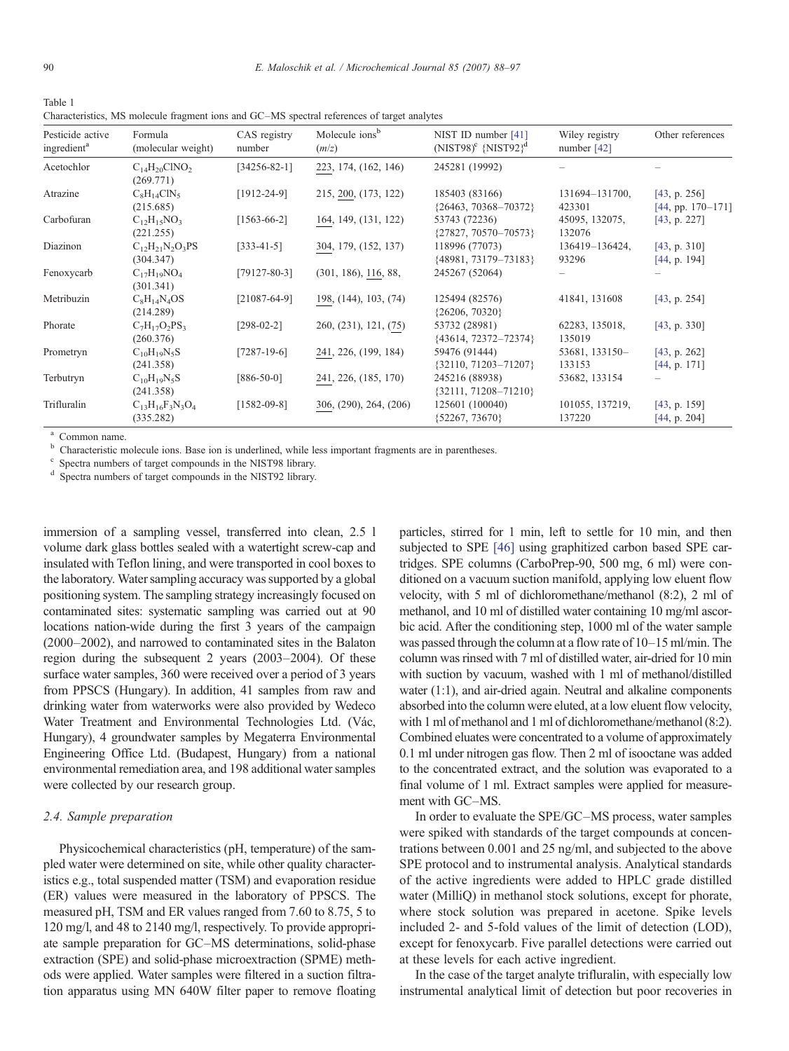<span id="page-2-0"></span>Table 1 Characteristics, MS molecule fragment ions and GC–MS spectral references of target analytes

| Pesticide active<br>ingredient <sup>a</sup> | Formula<br>(molecular weight)        | CAS registry<br>number                     | Molecule ions <sup>b</sup><br>(m/z) | NIST ID number [41]<br>(NIST98) <sup>c</sup> {NIST92} <sup>d</sup> | Wiley registry<br>number $[42]$ | Other references                    |
|---------------------------------------------|--------------------------------------|--------------------------------------------|-------------------------------------|--------------------------------------------------------------------|---------------------------------|-------------------------------------|
| Acetochlor                                  | $C_{14}H_{20}CINO_2$<br>(269.771)    | $[34256 - 82 - 1]$<br>223, 174, (162, 146) |                                     | 245281 (19992)                                                     |                                 |                                     |
| Atrazine                                    | $C_8H_{14}ClN_5$<br>(215.685)        | $[1912 - 24 - 9]$                          | 215, 200, (173, 122)                | 185403 (83166)<br>${26463, 70368 - 70372}$                         | 131694-131700,<br>423301        | [43, p. 256]<br>$[44, pp. 170-171]$ |
| Carbofuran                                  | $C_{12}H_{15}NO_3$<br>(221.255)      | $[1563-66-2]$                              | 164, 149, (131, 122)                | 53743 (72236)<br>${27827, 70570 - 70573}$                          | 45095, 132075,<br>132076        | [43, p. 227]                        |
| Diazinon                                    | $C_{12}H_{21}N_2O_3PS$<br>(304.347)  | $[333-41-5]$                               | 304, 179, (152, 137)                | 118996 (77073)<br>{48981, 73179-73183}                             | 136419-136424,<br>93296         | [43, p. 310]<br>[44, p. 194]        |
| Fenoxycarb                                  | $C_{17}H_{19}NO_4$<br>(301.341)      | $[79127 - 80 - 3]$                         | (301, 186), 116, 88,                | 245267 (52064)                                                     |                                 |                                     |
| Metribuzin                                  | $C_8H_{14}N_4OS$<br>(214.289)        | $[21087-64-9]$                             | 198, (144), 103, (74)               | 125494 (82576)<br>${26206, 70320}$                                 | 41841, 131608                   | [43, p. 254]                        |
| Phorate                                     | $C_7H_{17}O_2PS_3$<br>(260.376)      | $[298-02-2]$                               | 260, (231), 121, (75)               | 53732 (28981)<br>${43614, 72372 - 72374}$                          | 62283, 135018,<br>135019        | [43, p. 330]                        |
| Prometryn                                   | $C_{10}H_{19}N_5S$<br>(241.358)      | $[7287-19-6]$                              | 241, 226, (199, 184)                | 59476 (91444)<br>${32110, 71203 - 71207}$                          | 53681, 133150-<br>133153        | [43, p. 262]<br>[44, p. 171]        |
| Terbutryn                                   | $C_{10}H_{19}N_5S$<br>(241.358)      | $[886-50-0]$                               | 241, 226, (185, 170)                | 245216 (88938)<br>${32111, 71208 - 71210}$                         | 53682, 133154                   |                                     |
| Trifluralin                                 | $C_{13}H_{16}F_3N_3O_4$<br>(335.282) | $[1582-09-8]$                              | 306, (290), 264, (206)              | 125601 (100040)<br>${52267, 73670}$                                | 101055, 137219,<br>137220       | [43, p. 159]<br>[44, p. 204]        |

<sup>a</sup> Common name.<br>
<sup>b</sup> Characteristic molecule ions. Base ion is underlined, while less important fragments are in parentheses.<br>
<sup>c</sup> Spectra numbers of target compounds in the NIST98 library.<br>
<sup>d</sup> Spectra numbers of target

immersion of a sampling vessel, transferred into clean, 2.5 l volume dark glass bottles sealed with a watertight screw-cap and insulated with Teflon lining, and were transported in cool boxes to the laboratory. Water sampling accuracy was supported by a global positioning system. The sampling strategy increasingly focused on contaminated sites: systematic sampling was carried out at 90 locations nation-wide during the first 3 years of the campaign (2000–2002), and narrowed to contaminated sites in the Balaton region during the subsequent 2 years (2003–2004). Of these surface water samples, 360 were received over a period of 3 years from PPSCS (Hungary). In addition, 41 samples from raw and drinking water from waterworks were also provided by Wedeco Water Treatment and Environmental Technologies Ltd. (Vác, Hungary), 4 groundwater samples by Megaterra Environmental Engineering Office Ltd. (Budapest, Hungary) from a national environmental remediation area, and 198 additional water samples were collected by our research group.

#### 2.4. Sample preparation

Physicochemical characteristics (pH, temperature) of the sampled water were determined on site, while other quality characteristics e.g., total suspended matter (TSM) and evaporation residue (ER) values were measured in the laboratory of PPSCS. The measured pH, TSM and ER values ranged from 7.60 to 8.75, 5 to 120 mg/l, and 48 to 2140 mg/l, respectively. To provide appropriate sample preparation for GC–MS determinations, solid-phase extraction (SPE) and solid-phase microextraction (SPME) methods were applied. Water samples were filtered in a suction filtration apparatus using MN 640W filter paper to remove floating

particles, stirred for 1 min, left to settle for 10 min, and then subjected to SPE [\[46\]](#page-9-0) using graphitized carbon based SPE cartridges. SPE columns (CarboPrep-90, 500 mg, 6 ml) were conditioned on a vacuum suction manifold, applying low eluent flow velocity, with 5 ml of dichloromethane/methanol (8:2), 2 ml of methanol, and 10 ml of distilled water containing 10 mg/ml ascorbic acid. After the conditioning step, 1000 ml of the water sample was passed through the column at a flow rate of 10–15 ml/min. The column was rinsed with 7 ml of distilled water, air-dried for 10 min with suction by vacuum, washed with 1 ml of methanol/distilled water (1:1), and air-dried again. Neutral and alkaline components absorbed into the column were eluted, at a low eluent flow velocity, with 1 ml of methanol and 1 ml of dichloromethane/methanol (8:2). Combined eluates were concentrated to a volume of approximately 0.1 ml under nitrogen gas flow. Then 2 ml of isooctane was added to the concentrated extract, and the solution was evaporated to a final volume of 1 ml. Extract samples were applied for measurement with GC–MS.

In order to evaluate the SPE/GC–MS process, water samples were spiked with standards of the target compounds at concentrations between 0.001 and 25 ng/ml, and subjected to the above SPE protocol and to instrumental analysis. Analytical standards of the active ingredients were added to HPLC grade distilled water (MilliQ) in methanol stock solutions, except for phorate, where stock solution was prepared in acetone. Spike levels included 2- and 5-fold values of the limit of detection (LOD), except for fenoxycarb. Five parallel detections were carried out at these levels for each active ingredient.

In the case of the target analyte trifluralin, with especially low instrumental analytical limit of detection but poor recoveries in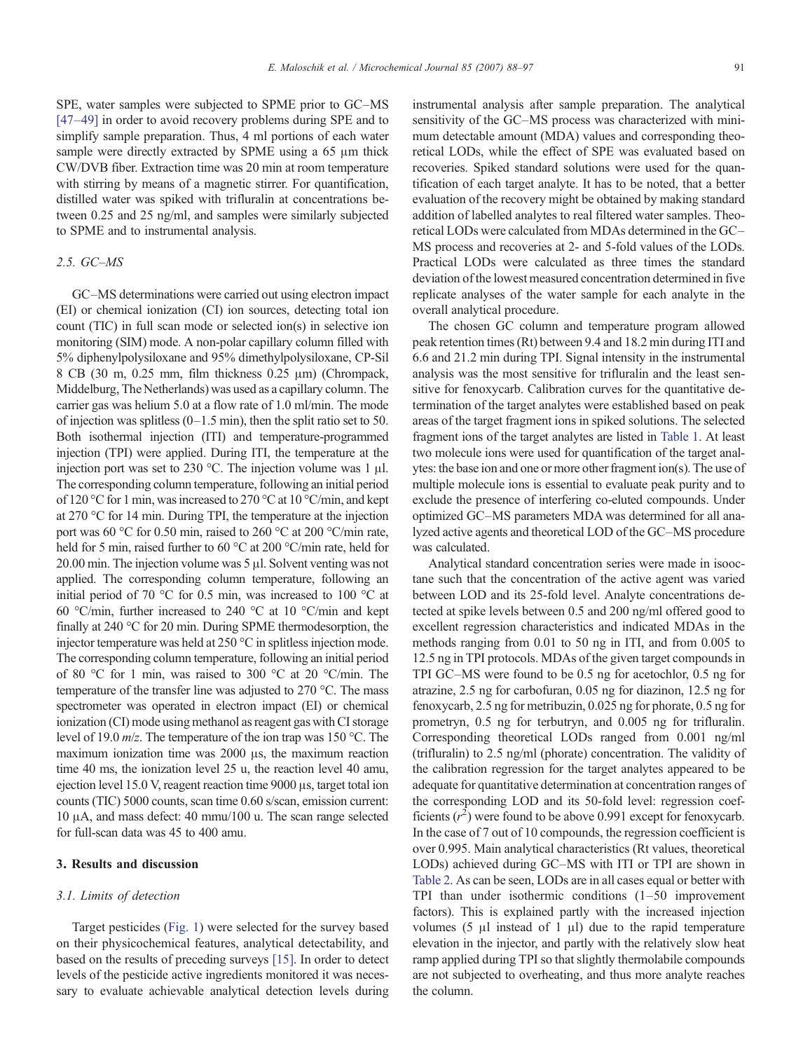SPE, water samples were subjected to SPME prior to GC–MS [47–[49\]](#page-9-0) in order to avoid recovery problems during SPE and to simplify sample preparation. Thus, 4 ml portions of each water sample were directly extracted by SPME using a 65 μm thick CW/DVB fiber. Extraction time was 20 min at room temperature with stirring by means of a magnetic stirrer. For quantification, distilled water was spiked with trifluralin at concentrations between 0.25 and 25 ng/ml, and samples were similarly subjected to SPME and to instrumental analysis.

## 2.5. GC–MS

GC–MS determinations were carried out using electron impact (EI) or chemical ionization (CI) ion sources, detecting total ion count (TIC) in full scan mode or selected ion(s) in selective ion monitoring (SIM) mode. A non-polar capillary column filled with 5% diphenylpolysiloxane and 95% dimethylpolysiloxane, CP-Sil 8 CB (30 m, 0.25 mm, film thickness 0.25 μm) (Chrompack, Middelburg, The Netherlands) was used as a capillary column. The carrier gas was helium 5.0 at a flow rate of 1.0 ml/min. The mode of injection was splitless  $(0-1.5 \text{ min})$ , then the split ratio set to 50. Both isothermal injection (ITI) and temperature-programmed injection (TPI) were applied. During ITI, the temperature at the injection port was set to 230 °C. The injection volume was 1 μl. The corresponding column temperature, following an initial period of 120 °C for 1 min, was increased to 270 °C at 10 °C/min, and kept at 270 °C for 14 min. During TPI, the temperature at the injection port was 60 °C for 0.50 min, raised to 260 °C at 200 °C/min rate, held for 5 min, raised further to 60 °C at 200 °C/min rate, held for 20.00 min. The injection volume was 5 μl. Solvent venting was not applied. The corresponding column temperature, following an initial period of 70 °C for 0.5 min, was increased to 100 °C at 60 °C/min, further increased to 240 °C at 10 °C/min and kept finally at 240 °C for 20 min. During SPME thermodesorption, the injector temperature was held at 250 °C in splitless injection mode. The corresponding column temperature, following an initial period of 80 °C for 1 min, was raised to 300 °C at 20 °C/min. The temperature of the transfer line was adjusted to 270 °C. The mass spectrometer was operated in electron impact (EI) or chemical ionization (CI) mode using methanol as reagent gas with CI storage level of 19.0 m/z. The temperature of the ion trap was 150 °C. The maximum ionization time was 2000 μs, the maximum reaction time 40 ms, the ionization level 25 u, the reaction level 40 amu, ejection level 15.0 V, reagent reaction time 9000 μs, target total ion counts (TIC) 5000 counts, scan time 0.60 s/scan, emission current: 10 μA, and mass defect: 40 mmu/100 u. The scan range selected for full-scan data was 45 to 400 amu.

# 3. Results and discussion

#### 3.1. Limits of detection

Target pesticides [\(Fig. 1\)](#page-1-0) were selected for the survey based on their physicochemical features, analytical detectability, and based on the results of preceding surveys [\[15\].](#page-8-0) In order to detect levels of the pesticide active ingredients monitored it was necessary to evaluate achievable analytical detection levels during

instrumental analysis after sample preparation. The analytical sensitivity of the GC–MS process was characterized with minimum detectable amount (MDA) values and corresponding theoretical LODs, while the effect of SPE was evaluated based on recoveries. Spiked standard solutions were used for the quantification of each target analyte. It has to be noted, that a better evaluation of the recovery might be obtained by making standard addition of labelled analytes to real filtered water samples. Theoretical LODs were calculated from MDAs determined in the GC– MS process and recoveries at 2- and 5-fold values of the LODs. Practical LODs were calculated as three times the standard deviation of the lowest measured concentration determined in five replicate analyses of the water sample for each analyte in the overall analytical procedure.

The chosen GC column and temperature program allowed peak retention times (Rt) between 9.4 and 18.2 min during ITI and 6.6 and 21.2 min during TPI. Signal intensity in the instrumental analysis was the most sensitive for trifluralin and the least sensitive for fenoxycarb. Calibration curves for the quantitative determination of the target analytes were established based on peak areas of the target fragment ions in spiked solutions. The selected fragment ions of the target analytes are listed in [Table 1.](#page-2-0) At least two molecule ions were used for quantification of the target analytes: the base ion and one or more other fragment ion(s). The use of multiple molecule ions is essential to evaluate peak purity and to exclude the presence of interfering co-eluted compounds. Under optimized GC–MS parameters MDA was determined for all analyzed active agents and theoretical LOD of the GC–MS procedure was calculated.

Analytical standard concentration series were made in isooctane such that the concentration of the active agent was varied between LOD and its 25-fold level. Analyte concentrations detected at spike levels between 0.5 and 200 ng/ml offered good to excellent regression characteristics and indicated MDAs in the methods ranging from 0.01 to 50 ng in ITI, and from 0.005 to 12.5 ng in TPI protocols. MDAs of the given target compounds in TPI GC–MS were found to be 0.5 ng for acetochlor, 0.5 ng for atrazine, 2.5 ng for carbofuran, 0.05 ng for diazinon, 12.5 ng for fenoxycarb, 2.5 ng for metribuzin, 0.025 ng for phorate, 0.5 ng for prometryn, 0.5 ng for terbutryn, and 0.005 ng for trifluralin. Corresponding theoretical LODs ranged from 0.001 ng/ml (trifluralin) to 2.5 ng/ml (phorate) concentration. The validity of the calibration regression for the target analytes appeared to be adequate for quantitative determination at concentration ranges of the corresponding LOD and its 50-fold level: regression coefficients  $(r^2)$  were found to be above 0.991 except for fenoxycarb. In the case of 7 out of 10 compounds, the regression coefficient is over 0.995. Main analytical characteristics (Rt values, theoretical LODs) achieved during GC–MS with ITI or TPI are shown in [Table 2.](#page-4-0) As can be seen, LODs are in all cases equal or better with TPI than under isothermic conditions (1–50 improvement factors). This is explained partly with the increased injection volumes  $(5 \text{ }\mu\text{l} \text{ instead of } 1 \text{ }\mu\text{l})$  due to the rapid temperature elevation in the injector, and partly with the relatively slow heat ramp applied during TPI so that slightly thermolabile compounds are not subjected to overheating, and thus more analyte reaches the column.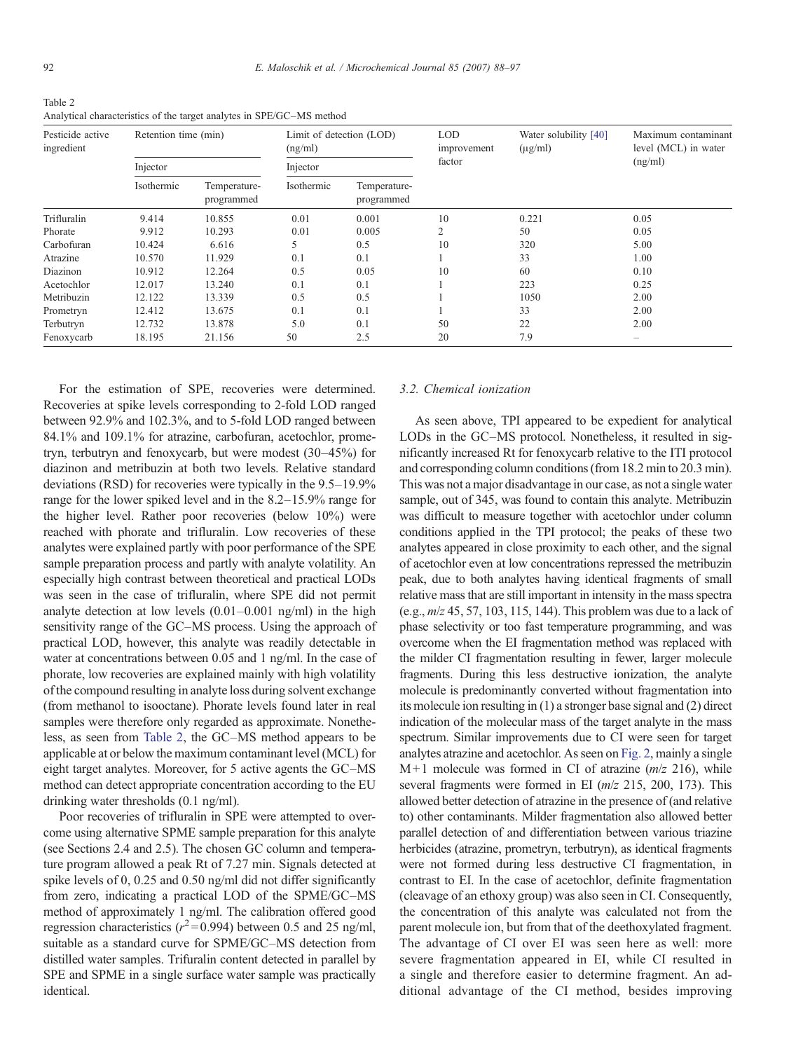<span id="page-4-0"></span>Table 2 Analytical characteristics of the target analytes in SPE/GC–MS method

| Pesticide active<br>ingredient | Retention time (min)<br>Injector |        | Limit of detection (LOD)<br>(ng/ml)<br>Injector |       | <b>LOD</b><br>improvement<br>factor | Water solubility [40]<br>$(\mu g/ml)$ | Maximum contaminant<br>level (MCL) in water<br>(ng/ml) |
|--------------------------------|----------------------------------|--------|-------------------------------------------------|-------|-------------------------------------|---------------------------------------|--------------------------------------------------------|
|                                |                                  |        |                                                 |       |                                     |                                       |                                                        |
|                                | Trifluralin                      | 9.414  | 10.855                                          | 0.01  | 0.001                               | 10                                    | 0.221                                                  |
| Phorate                        | 9.912                            | 10.293 | 0.01                                            | 0.005 |                                     | 50                                    | 0.05                                                   |
| Carbofuran                     | 10.424                           | 6.616  | 5                                               | 0.5   | 10                                  | 320                                   | 5.00                                                   |
| Atrazine                       | 10.570                           | 11.929 | 0.1                                             | 0.1   |                                     | 33                                    | 1.00                                                   |
| Diazinon                       | 10.912                           | 12.264 | 0.5                                             | 0.05  | 10                                  | 60                                    | 0.10                                                   |
| Acetochlor                     | 12.017                           | 13.240 | 0.1                                             | 0.1   |                                     | 223                                   | 0.25                                                   |
| Metribuzin                     | 12.122                           | 13.339 | 0.5                                             | 0.5   |                                     | 1050                                  | 2.00                                                   |
| Prometryn                      | 12.412                           | 13.675 | 0.1                                             | 0.1   |                                     | 33                                    | 2.00                                                   |
| Terbutryn                      | 12.732                           | 13.878 | 5.0                                             | 0.1   | 50                                  | 22                                    | 2.00                                                   |
| Fenoxycarb                     | 18.195                           | 21.156 | 50                                              | 2.5   | 20                                  | 7.9                                   | $\overline{\phantom{a}}$                               |

For the estimation of SPE, recoveries were determined. Recoveries at spike levels corresponding to 2-fold LOD ranged between 92.9% and 102.3%, and to 5-fold LOD ranged between 84.1% and 109.1% for atrazine, carbofuran, acetochlor, prometryn, terbutryn and fenoxycarb, but were modest (30–45%) for diazinon and metribuzin at both two levels. Relative standard deviations (RSD) for recoveries were typically in the 9.5–19.9% range for the lower spiked level and in the 8.2–15.9% range for the higher level. Rather poor recoveries (below 10%) were reached with phorate and trifluralin. Low recoveries of these analytes were explained partly with poor performance of the SPE sample preparation process and partly with analyte volatility. An especially high contrast between theoretical and practical LODs was seen in the case of trifluralin, where SPE did not permit analyte detection at low levels (0.01–0.001 ng/ml) in the high sensitivity range of the GC–MS process. Using the approach of practical LOD, however, this analyte was readily detectable in water at concentrations between 0.05 and 1 ng/ml. In the case of phorate, low recoveries are explained mainly with high volatility of the compound resulting in analyte loss during solvent exchange (from methanol to isooctane). Phorate levels found later in real samples were therefore only regarded as approximate. Nonetheless, as seen from Table 2, the GC–MS method appears to be applicable at or below the maximum contaminant level (MCL) for eight target analytes. Moreover, for 5 active agents the GC–MS method can detect appropriate concentration according to the EU drinking water thresholds (0.1 ng/ml).

Poor recoveries of trifluralin in SPE were attempted to overcome using alternative SPME sample preparation for this analyte (see Sections 2.4 and 2.5). The chosen GC column and temperature program allowed a peak Rt of 7.27 min. Signals detected at spike levels of 0, 0.25 and 0.50 ng/ml did not differ significantly from zero, indicating a practical LOD of the SPME/GC–MS method of approximately 1 ng/ml. The calibration offered good regression characteristics ( $r^2$ =0.994) between 0.5 and 25 ng/ml, suitable as a standard curve for SPME/GC–MS detection from distilled water samples. Trifuralin content detected in parallel by SPE and SPME in a single surface water sample was practically identical.

## 3.2. Chemical ionization

As seen above, TPI appeared to be expedient for analytical LODs in the GC–MS protocol. Nonetheless, it resulted in significantly increased Rt for fenoxycarb relative to the ITI protocol and corresponding column conditions (from 18.2 min to 20.3 min). This was not a major disadvantage in our case, as not a single water sample, out of 345, was found to contain this analyte. Metribuzin was difficult to measure together with acetochlor under column conditions applied in the TPI protocol; the peaks of these two analytes appeared in close proximity to each other, and the signal of acetochlor even at low concentrations repressed the metribuzin peak, due to both analytes having identical fragments of small relative mass that are still important in intensity in the mass spectra (e.g.,  $m/z$  45, 57, 103, 115, 144). This problem was due to a lack of phase selectivity or too fast temperature programming, and was overcome when the EI fragmentation method was replaced with the milder CI fragmentation resulting in fewer, larger molecule fragments. During this less destructive ionization, the analyte molecule is predominantly converted without fragmentation into its molecule ion resulting in (1) a stronger base signal and (2) direct indication of the molecular mass of the target analyte in the mass spectrum. Similar improvements due to CI were seen for target analytes atrazine and acetochlor. As seen on [Fig. 2,](#page-5-0) mainly a single  $M+1$  molecule was formed in CI of atrazine ( $m/z$  216), while several fragments were formed in EI ( $m/z$  215, 200, 173). This allowed better detection of atrazine in the presence of (and relative to) other contaminants. Milder fragmentation also allowed better parallel detection of and differentiation between various triazine herbicides (atrazine, prometryn, terbutryn), as identical fragments were not formed during less destructive CI fragmentation, in contrast to EI. In the case of acetochlor, definite fragmentation (cleavage of an ethoxy group) was also seen in CI. Consequently, the concentration of this analyte was calculated not from the parent molecule ion, but from that of the deethoxylated fragment. The advantage of CI over EI was seen here as well: more severe fragmentation appeared in EI, while CI resulted in a single and therefore easier to determine fragment. An additional advantage of the CI method, besides improving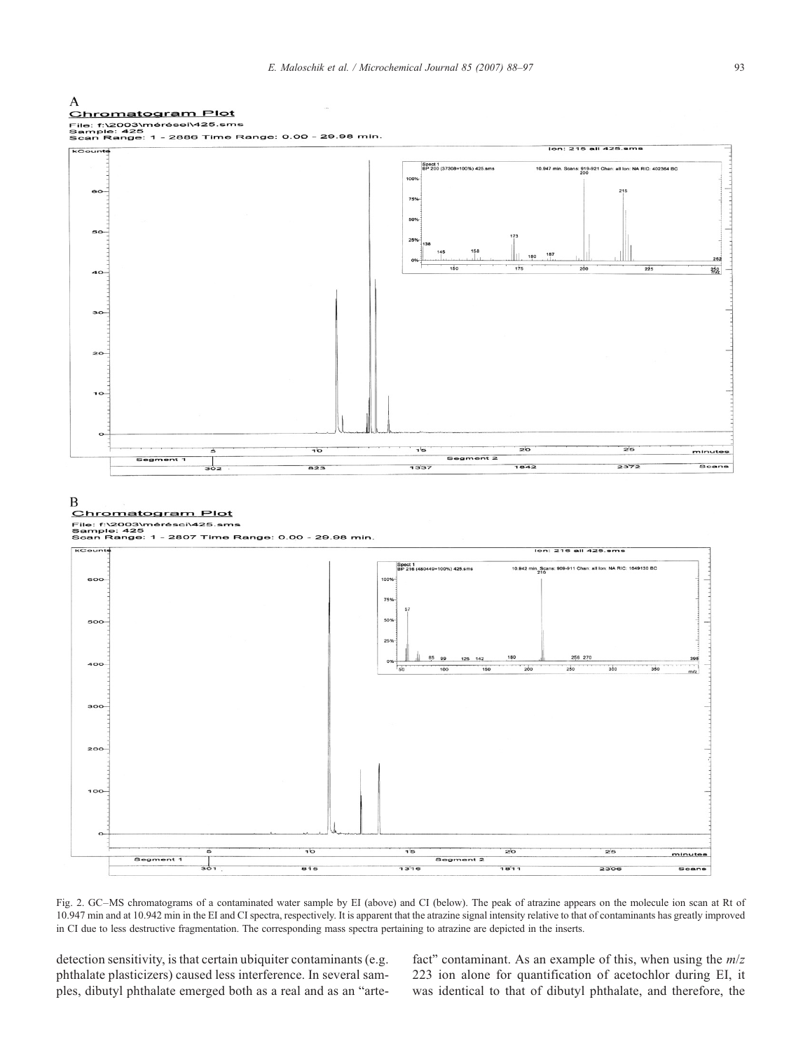<span id="page-5-0"></span>

Fig. 2. GC–MS chromatograms of a contaminated water sample by EI (above) and CI (below). The peak of atrazine appears on the molecule ion scan at Rt of 10.947 min and at 10.942 min in the EI and CI spectra, respectively. It is apparent that the atrazine signal intensity relative to that of contaminants has greatly improved in CI due to less destructive fragmentation. The corresponding mass spectra pertaining to atrazine are depicted in the inserts.

detection sensitivity, is that certain ubiquiter contaminants (e.g. phthalate plasticizers) caused less interference. In several samples, dibutyl phthalate emerged both as a real and as an "artefact" contaminant. As an example of this, when using the  $m/z$ 223 ion alone for quantification of acetochlor during EI, it was identical to that of dibutyl phthalate, and therefore, the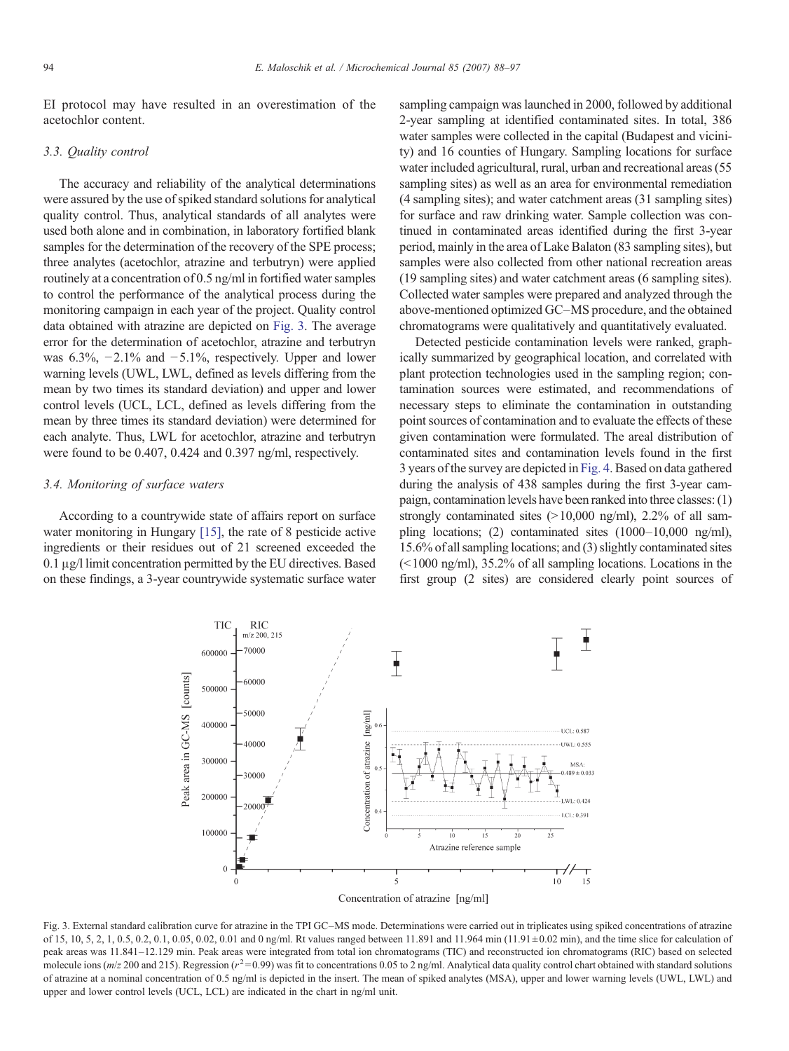EI protocol may have resulted in an overestimation of the acetochlor content.

#### 3.3. Quality control

The accuracy and reliability of the analytical determinations were assured by the use of spiked standard solutions for analytical quality control. Thus, analytical standards of all analytes were used both alone and in combination, in laboratory fortified blank samples for the determination of the recovery of the SPE process; three analytes (acetochlor, atrazine and terbutryn) were applied routinely at a concentration of 0.5 ng/ml in fortified water samples to control the performance of the analytical process during the monitoring campaign in each year of the project. Quality control data obtained with atrazine are depicted on Fig. 3. The average error for the determination of acetochlor, atrazine and terbutryn was 6.3%,  $-2.1\%$  and  $-5.1\%$ , respectively. Upper and lower warning levels (UWL, LWL, defined as levels differing from the mean by two times its standard deviation) and upper and lower control levels (UCL, LCL, defined as levels differing from the mean by three times its standard deviation) were determined for each analyte. Thus, LWL for acetochlor, atrazine and terbutryn were found to be 0.407, 0.424 and 0.397 ng/ml, respectively.

# 3.4. Monitoring of surface waters

According to a countrywide state of affairs report on surface water monitoring in Hungary [\[15\],](#page-8-0) the rate of 8 pesticide active ingredients or their residues out of 21 screened exceeded the 0.1 μg/l limit concentration permitted by the EU directives. Based on these findings, a 3-year countrywide systematic surface water sampling campaign was launched in 2000, followed by additional 2-year sampling at identified contaminated sites. In total, 386 water samples were collected in the capital (Budapest and vicinity) and 16 counties of Hungary. Sampling locations for surface water included agricultural, rural, urban and recreational areas (55 sampling sites) as well as an area for environmental remediation (4 sampling sites); and water catchment areas (31 sampling sites) for surface and raw drinking water. Sample collection was continued in contaminated areas identified during the first 3-year period, mainly in the area of Lake Balaton (83 sampling sites), but samples were also collected from other national recreation areas (19 sampling sites) and water catchment areas (6 sampling sites). Collected water samples were prepared and analyzed through the above-mentioned optimized GC–MS procedure, and the obtained chromatograms were qualitatively and quantitatively evaluated.

Detected pesticide contamination levels were ranked, graphically summarized by geographical location, and correlated with plant protection technologies used in the sampling region; contamination sources were estimated, and recommendations of necessary steps to eliminate the contamination in outstanding point sources of contamination and to evaluate the effects of these given contamination were formulated. The areal distribution of contaminated sites and contamination levels found in the first 3 years of the survey are depicted in [Fig. 4](#page-7-0). Based on data gathered during the analysis of 438 samples during the first 3-year campaign, contamination levels have been ranked into three classes: (1) strongly contaminated sites (>10,000 ng/ml), 2.2% of all sampling locations; (2) contaminated sites (1000–10,000 ng/ml), 15.6% of all sampling locations; and (3) slightly contaminated sites  $\approx$  1000 ng/ml), 35.2% of all sampling locations. Locations in the first group (2 sites) are considered clearly point sources of



Concentration of atrazine [ng/ml]

Fig. 3. External standard calibration curve for atrazine in the TPI GC–MS mode. Determinations were carried out in triplicates using spiked concentrations of atrazine of 15, 10, 5, 2, 1, 0.5, 0.2, 0.1, 0.05, 0.02, 0.01 and 0 ng/ml. Rt values ranged between 11.891 and 11.964 min (11.91 ± 0.02 min), and the time slice for calculation of peak areas was 11.841–12.129 min. Peak areas were integrated from total ion chromatograms (TIC) and reconstructed ion chromatograms (RIC) based on selected molecule ions ( $m/z$  200 and 215). Regression ( $r^2$ =0.99) was fit to concentrations 0.05 to 2 ng/ml. Analytical data quality control chart obtained with standard solutions of atrazine at a nominal concentration of 0.5 ng/ml is depicted in the insert. The mean of spiked analytes (MSA), upper and lower warning levels (UWL, LWL) and upper and lower control levels (UCL, LCL) are indicated in the chart in ng/ml unit.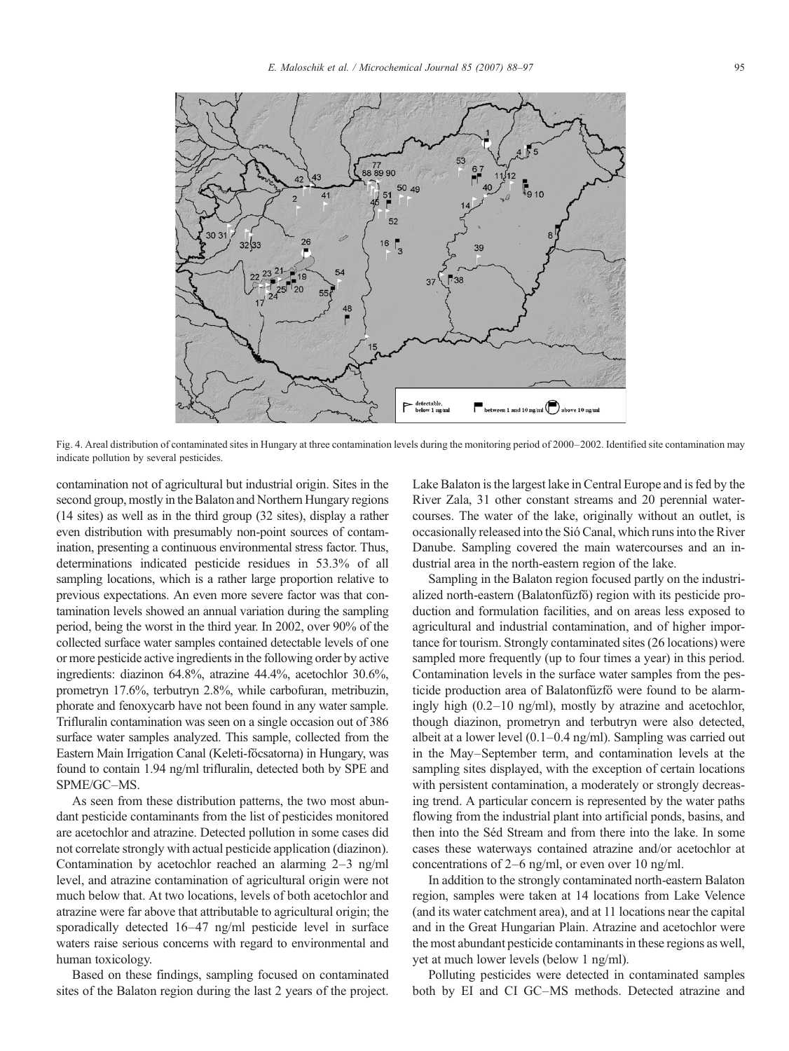<span id="page-7-0"></span>

Fig. 4. Areal distribution of contaminated sites in Hungary at three contamination levels during the monitoring period of 2000–2002. Identified site contamination may indicate pollution by several pesticides.

contamination not of agricultural but industrial origin. Sites in the second group, mostly in the Balaton and Northern Hungary regions (14 sites) as well as in the third group (32 sites), display a rather even distribution with presumably non-point sources of contamination, presenting a continuous environmental stress factor. Thus, determinations indicated pesticide residues in 53.3% of all sampling locations, which is a rather large proportion relative to previous expectations. An even more severe factor was that contamination levels showed an annual variation during the sampling period, being the worst in the third year. In 2002, over 90% of the collected surface water samples contained detectable levels of one or more pesticide active ingredients in the following order by active ingredients: diazinon 64.8%, atrazine 44.4%, acetochlor 30.6%, prometryn 17.6%, terbutryn 2.8%, while carbofuran, metribuzin, phorate and fenoxycarb have not been found in any water sample. Trifluralin contamination was seen on a single occasion out of 386 surface water samples analyzed. This sample, collected from the Eastern Main Irrigation Canal (Keleti-főcsatorna) in Hungary, was found to contain 1.94 ng/ml trifluralin, detected both by SPE and SPME/GC–MS.

As seen from these distribution patterns, the two most abundant pesticide contaminants from the list of pesticides monitored are acetochlor and atrazine. Detected pollution in some cases did not correlate strongly with actual pesticide application (diazinon). Contamination by acetochlor reached an alarming 2–3 ng/ml level, and atrazine contamination of agricultural origin were not much below that. At two locations, levels of both acetochlor and atrazine were far above that attributable to agricultural origin; the sporadically detected 16–47 ng/ml pesticide level in surface waters raise serious concerns with regard to environmental and human toxicology.

Based on these findings, sampling focused on contaminated sites of the Balaton region during the last 2 years of the project. Lake Balaton is the largest lake in Central Europe and is fed by the River Zala, 31 other constant streams and 20 perennial watercourses. The water of the lake, originally without an outlet, is occasionally released into the Sió Canal, which runs into the River Danube. Sampling covered the main watercourses and an industrial area in the north-eastern region of the lake.

Sampling in the Balaton region focused partly on the industrialized north-eastern (Balatonfűzfő) region with its pesticide production and formulation facilities, and on areas less exposed to agricultural and industrial contamination, and of higher importance for tourism. Strongly contaminated sites (26 locations) were sampled more frequently (up to four times a year) in this period. Contamination levels in the surface water samples from the pesticide production area of Balatonfűzfő were found to be alarmingly high (0.2–10 ng/ml), mostly by atrazine and acetochlor, though diazinon, prometryn and terbutryn were also detected, albeit at a lower level (0.1–0.4 ng/ml). Sampling was carried out in the May–September term, and contamination levels at the sampling sites displayed, with the exception of certain locations with persistent contamination, a moderately or strongly decreasing trend. A particular concern is represented by the water paths flowing from the industrial plant into artificial ponds, basins, and then into the Séd Stream and from there into the lake. In some cases these waterways contained atrazine and/or acetochlor at concentrations of 2–6 ng/ml, or even over 10 ng/ml.

In addition to the strongly contaminated north-eastern Balaton region, samples were taken at 14 locations from Lake Velence (and its water catchment area), and at 11 locations near the capital and in the Great Hungarian Plain. Atrazine and acetochlor were the most abundant pesticide contaminants in these regions as well, yet at much lower levels (below 1 ng/ml).

Polluting pesticides were detected in contaminated samples both by EI and CI GC–MS methods. Detected atrazine and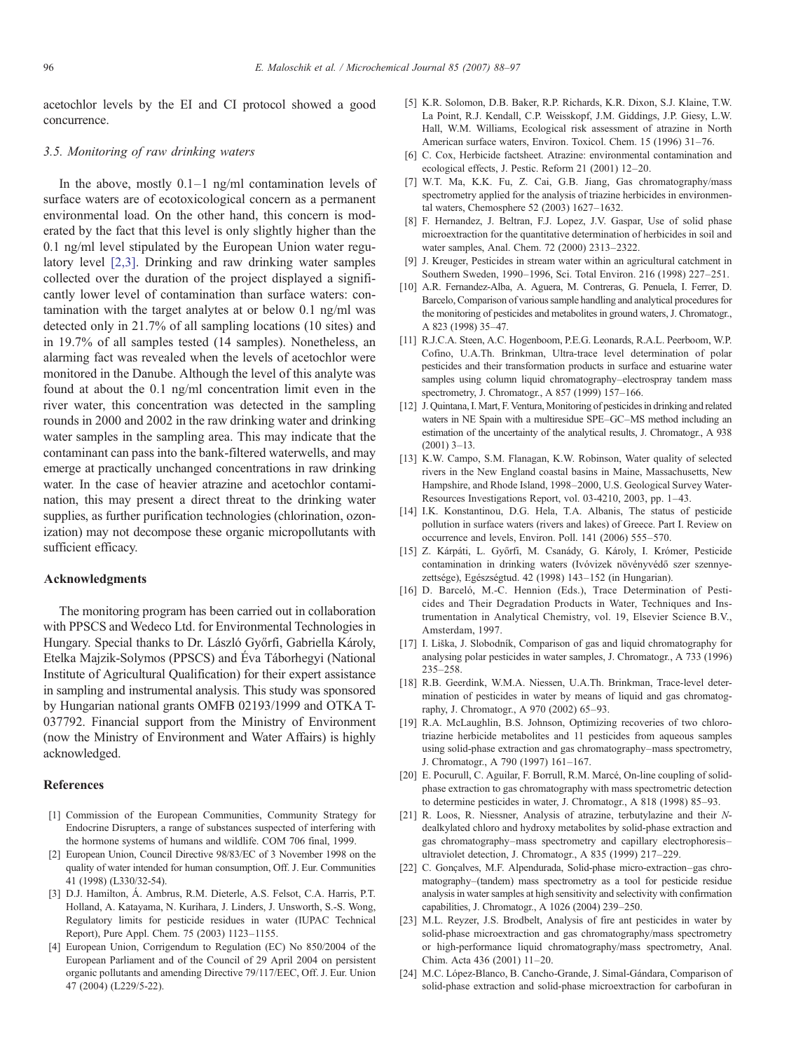<span id="page-8-0"></span>acetochlor levels by the EI and CI protocol showed a good concurrence.

# 3.5. Monitoring of raw drinking waters

In the above, mostly 0.1–1 ng/ml contamination levels of surface waters are of ecotoxicological concern as a permanent environmental load. On the other hand, this concern is moderated by the fact that this level is only slightly higher than the 0.1 ng/ml level stipulated by the European Union water regulatory level [2,3]. Drinking and raw drinking water samples collected over the duration of the project displayed a significantly lower level of contamination than surface waters: contamination with the target analytes at or below 0.1 ng/ml was detected only in 21.7% of all sampling locations (10 sites) and in 19.7% of all samples tested (14 samples). Nonetheless, an alarming fact was revealed when the levels of acetochlor were monitored in the Danube. Although the level of this analyte was found at about the 0.1 ng/ml concentration limit even in the river water, this concentration was detected in the sampling rounds in 2000 and 2002 in the raw drinking water and drinking water samples in the sampling area. This may indicate that the contaminant can pass into the bank-filtered waterwells, and may emerge at practically unchanged concentrations in raw drinking water. In the case of heavier atrazine and acetochlor contamination, this may present a direct threat to the drinking water supplies, as further purification technologies (chlorination, ozonization) may not decompose these organic micropollutants with sufficient efficacy.

#### Acknowledgments

The monitoring program has been carried out in collaboration with PPSCS and Wedeco Ltd. for Environmental Technologies in Hungary. Special thanks to Dr. László Győrfi, Gabriella Károly, Etelka Majzik-Solymos (PPSCS) and Éva Táborhegyi (National Institute of Agricultural Qualification) for their expert assistance in sampling and instrumental analysis. This study was sponsored by Hungarian national grants OMFB 02193/1999 and OTKA T-037792. Financial support from the Ministry of Environment (now the Ministry of Environment and Water Affairs) is highly acknowledged.

## References

- [1] Commission of the European Communities, Community Strategy for Endocrine Disrupters, a range of substances suspected of interfering with the hormone systems of humans and wildlife. COM 706 final, 1999.
- [2] European Union, Council Directive 98/83/EC of 3 November 1998 on the quality of water intended for human consumption, Off. J. Eur. Communities 41 (1998) (L330/32-54).
- [3] D.J. Hamilton, Á. Ambrus, R.M. Dieterle, A.S. Felsot, C.A. Harris, P.T. Holland, A. Katayama, N. Kurihara, J. Linders, J. Unsworth, S.-S. Wong, Regulatory limits for pesticide residues in water (IUPAC Technical Report), Pure Appl. Chem. 75 (2003) 1123–1155.
- [4] European Union, Corrigendum to Regulation (EC) No 850/2004 of the European Parliament and of the Council of 29 April 2004 on persistent organic pollutants and amending Directive 79/117/EEC, Off. J. Eur. Union 47 (2004) (L229/5-22).
- [5] K.R. Solomon, D.B. Baker, R.P. Richards, K.R. Dixon, S.J. Klaine, T.W. La Point, R.J. Kendall, C.P. Weisskopf, J.M. Giddings, J.P. Giesy, L.W. Hall, W.M. Williams, Ecological risk assessment of atrazine in North American surface waters, Environ. Toxicol. Chem. 15 (1996) 31–76.
- [6] C. Cox, Herbicide factsheet. Atrazine: environmental contamination and ecological effects, J. Pestic. Reform 21 (2001) 12–20.
- [7] W.T. Ma, K.K. Fu, Z. Cai, G.B. Jiang, Gas chromatography/mass spectrometry applied for the analysis of triazine herbicides in environmental waters, Chemosphere 52 (2003) 1627–1632.
- [8] F. Hernandez, J. Beltran, F.J. Lopez, J.V. Gaspar, Use of solid phase microextraction for the quantitative determination of herbicides in soil and water samples, Anal. Chem. 72 (2000) 2313–2322.
- [9] J. Kreuger, Pesticides in stream water within an agricultural catchment in Southern Sweden, 1990–1996, Sci. Total Environ. 216 (1998) 227–251.
- [10] A.R. Fernandez-Alba, A. Aguera, M. Contreras, G. Penuela, I. Ferrer, D. Barcelo, Comparison of various sample handling and analytical procedures for the monitoring of pesticides and metabolites in ground waters, J. Chromatogr., A 823 (1998) 35–47.
- [11] R.J.C.A. Steen, A.C. Hogenboom, P.E.G. Leonards, R.A.L. Peerboom, W.P. Cofino, U.A.Th. Brinkman, Ultra-trace level determination of polar pesticides and their transformation products in surface and estuarine water samples using column liquid chromatography–electrospray tandem mass spectrometry, J. Chromatogr., A 857 (1999) 157–166.
- [12] J. Quintana, I. Mart, F. Ventura, Monitoring of pesticides in drinking and related waters in NE Spain with a multiresidue SPE–GC–MS method including an estimation of the uncertainty of the analytical results, J. Chromatogr., A 938 (2001) 3–13.
- [13] K.W. Campo, S.M. Flanagan, K.W. Robinson, Water quality of selected rivers in the New England coastal basins in Maine, Massachusetts, New Hampshire, and Rhode Island, 1998–2000, U.S. Geological Survey Water-Resources Investigations Report, vol. 03-4210, 2003, pp. 1–43.
- [14] I.K. Konstantinou, D.G. Hela, T.A. Albanis, The status of pesticide pollution in surface waters (rivers and lakes) of Greece. Part I. Review on occurrence and levels, Environ. Poll. 141 (2006) 555–570.
- [15] Z. Kárpáti, L. Győrfi, M. Csanády, G. Károly, I. Krómer, Pesticide contamination in drinking waters (Ivóvizek növényvédő szer szennyezettsége), Egészségtud. 42 (1998) 143–152 (in Hungarian).
- [16] D. Barceló, M.-C. Hennion (Eds.), Trace Determination of Pesticides and Their Degradation Products in Water, Techniques and Instrumentation in Analytical Chemistry, vol. 19, Elsevier Science B.V., Amsterdam, 1997.
- [17] I. Liška, J. Slobodník, Comparison of gas and liquid chromatography for analysing polar pesticides in water samples, J. Chromatogr., A 733 (1996) 235–258.
- [18] R.B. Geerdink, W.M.A. Niessen, U.A.Th. Brinkman, Trace-level determination of pesticides in water by means of liquid and gas chromatography, J. Chromatogr., A 970 (2002) 65–93.
- [19] R.A. McLaughlin, B.S. Johnson, Optimizing recoveries of two chlorotriazine herbicide metabolites and 11 pesticides from aqueous samples using solid-phase extraction and gas chromatography–mass spectrometry, J. Chromatogr., A 790 (1997) 161–167.
- [20] E. Pocurull, C. Aguilar, F. Borrull, R.M. Marcé, On-line coupling of solidphase extraction to gas chromatography with mass spectrometric detection to determine pesticides in water, J. Chromatogr., A 818 (1998) 85–93.
- [21] R. Loos, R. Niessner, Analysis of atrazine, terbutylazine and their Ndealkylated chloro and hydroxy metabolites by solid-phase extraction and gas chromatography–mass spectrometry and capillary electrophoresis– ultraviolet detection, J. Chromatogr., A 835 (1999) 217–229.
- [22] C. Gonçalves, M.F. Alpendurada, Solid-phase micro-extraction–gas chromatography–(tandem) mass spectrometry as a tool for pesticide residue analysis in water samples at high sensitivity and selectivity with confirmation capabilities, J. Chromatogr., A 1026 (2004) 239–250.
- [23] M.L. Reyzer, J.S. Brodbelt, Analysis of fire ant pesticides in water by solid-phase microextraction and gas chromatography/mass spectrometry or high-performance liquid chromatography/mass spectrometry, Anal. Chim. Acta 436 (2001) 11–20.
- [24] M.C. López-Blanco, B. Cancho-Grande, J. Simal-Gándara, Comparison of solid-phase extraction and solid-phase microextraction for carbofuran in